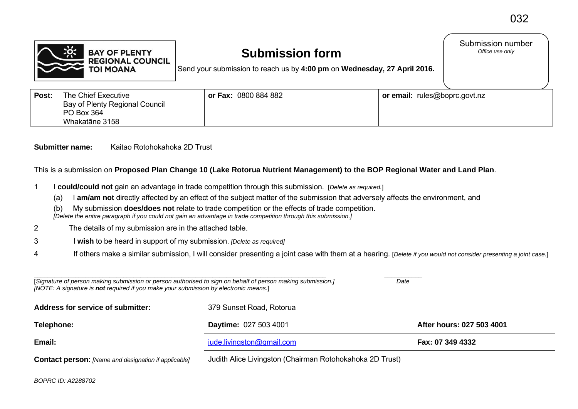

## **Submission form**

Submission number<br>Office use only

Send your submission to reach us by **4:00 pm** on **Wednesday, 27 April 2016.**

| Post: | The Chief Executive<br>Bay of Plenty Regional Council<br>PO Box 364<br>Whakatāne 3158 | or Fax: 0800 884 882 | or email: rules@boprc.govt.nz |
|-------|---------------------------------------------------------------------------------------|----------------------|-------------------------------|
|-------|---------------------------------------------------------------------------------------|----------------------|-------------------------------|

**Submitter name:** Kaitao Rotohokahoka 2D Trust

This is a submission on **Proposed Plan Change 10 (Lake Rotorua Nutrient Management) to the BOP Regional Water and Land Plan**.

- 1 I **could/could not** gain an advantage in trade competition through this submission. [*Delete as required.*]
	- (a) I **am/am not** directly affected by an effect of the subject matter of the submission that adversely affects the environment, and
	- (b) My submission **does/does not** relate to trade competition or the effects of trade competition.  *[Delete the entire paragraph if you could not gain an advantage in trade competition through this submission.]*
- 2 The details of my submission are in the attached table.
- 3 I **wish** to be heard in support of my submission. *[Delete as required]*
- 4 If others make a similar submission, I will consider presenting a joint case with them at a hearing. [*Delete if you would not consider presenting a joint case.*]

| [Signature of person making submission or person authorised to sign on behalf of person making submission.]<br>Date<br>[NOTE: A signature is not required if you make your submission by electronic means.] |                                                          |                           |  |  |
|-------------------------------------------------------------------------------------------------------------------------------------------------------------------------------------------------------------|----------------------------------------------------------|---------------------------|--|--|
| Address for service of submitter:                                                                                                                                                                           | 379 Sunset Road, Rotorua                                 |                           |  |  |
| Telephone:                                                                                                                                                                                                  | <b>Daytime: 027 503 4001</b>                             | After hours: 027 503 4001 |  |  |
| Email:                                                                                                                                                                                                      | jude.livingston@gmail.com                                | Fax: 07 349 4332          |  |  |
| <b>Contact person:</b> [Name and designation if applicable]                                                                                                                                                 | Judith Alice Livingston (Chairman Rotohokahoka 2D Trust) |                           |  |  |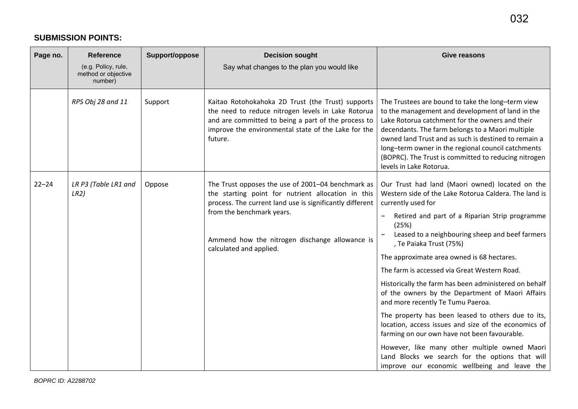## **SUBMISSION POINTS:**

| Page no.  | <b>Reference</b><br>(e.g. Policy, rule,<br>method or objective<br>number) | Support/oppose | <b>Decision sought</b><br>Say what changes to the plan you would like                                                                                                                                                                                                         | <b>Give reasons</b>                                                                                                                                                                                                                                                                                                                                                                                                                                                                                                                                                                                                                                                                                                                                                                                                                       |
|-----------|---------------------------------------------------------------------------|----------------|-------------------------------------------------------------------------------------------------------------------------------------------------------------------------------------------------------------------------------------------------------------------------------|-------------------------------------------------------------------------------------------------------------------------------------------------------------------------------------------------------------------------------------------------------------------------------------------------------------------------------------------------------------------------------------------------------------------------------------------------------------------------------------------------------------------------------------------------------------------------------------------------------------------------------------------------------------------------------------------------------------------------------------------------------------------------------------------------------------------------------------------|
|           | RPS Obj 28 and 11                                                         | Support        | Kaitao Rotohokahoka 2D Trust (the Trust) supports<br>the need to reduce nitrogen levels in Lake Rotorua<br>and are committed to being a part of the process to<br>improve the environmental state of the Lake for the<br>future.                                              | The Trustees are bound to take the long-term view<br>to the management and development of land in the<br>Lake Rotorua catchment for the owners and their<br>decendants. The farm belongs to a Maori multiple<br>owned land Trust and as such is destined to remain a<br>long-term owner in the regional council catchments<br>(BOPRC). The Trust is committed to reducing nitrogen<br>levels in Lake Rotorua.                                                                                                                                                                                                                                                                                                                                                                                                                             |
| $22 - 24$ | LR P3 (Table LR1 and<br>LR2)                                              | Oppose         | The Trust opposes the use of 2001-04 benchmark as<br>the starting point for nutrient allocation in this<br>process. The current land use is significantly different<br>from the benchmark years.<br>Ammend how the nitrogen dischange allowance is<br>calculated and applied. | Our Trust had land (Maori owned) located on the<br>Western side of the Lake Rotorua Caldera. The land is<br>currently used for<br>Retired and part of a Riparian Strip programme<br>(25%)<br>Leased to a neighbouring sheep and beef farmers<br>, Te Paiaka Trust (75%)<br>The approximate area owned is 68 hectares.<br>The farm is accessed via Great Western Road.<br>Historically the farm has been administered on behalf<br>of the owners by the Department of Maori Affairs<br>and more recently Te Tumu Paeroa.<br>The property has been leased to others due to its,<br>location, access issues and size of the economics of<br>farming on our own have not been favourable.<br>However, like many other multiple owned Maori<br>Land Blocks we search for the options that will<br>improve our economic wellbeing and leave the |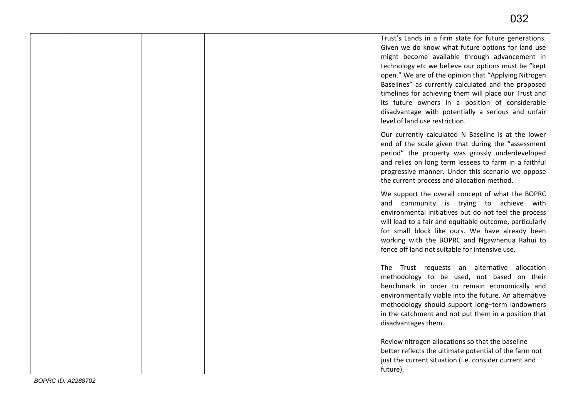|  |  | Trust's Lands in a firm state for future generations.<br>Given we do know what future options for land use<br>might become available through advancement in<br>technology etc we believe our options must be "kept<br>open." We are of the opinion that "Applying Nitrogen<br>Baselines" as currently calculated and the proposed<br>timelines for achieving them will place our Trust and<br>its future owners in a position of considerable<br>disadvantage with potentially a serious and unfair<br>level of land use restriction. |
|--|--|---------------------------------------------------------------------------------------------------------------------------------------------------------------------------------------------------------------------------------------------------------------------------------------------------------------------------------------------------------------------------------------------------------------------------------------------------------------------------------------------------------------------------------------|
|  |  | Our currently calculated N Baseline is at the lower<br>end of the scale given that during the "assessment<br>period" the property was grossly underdeveloped<br>and relies on long term lessees to farm in a faithful<br>progressive manner. Under this scenario we oppose<br>the current process and allocation method.                                                                                                                                                                                                              |
|  |  | We support the overall concept of what the BOPRC<br>and community is trying to achieve with<br>environmental initiatives but do not feel the process<br>will lead to a fair and equitable outcome, particularly<br>for small block like ours. We have already been<br>working with the BOPRC and Ngawhenua Rahui to<br>fence off land not suitable for intensive use.                                                                                                                                                                 |
|  |  | The Trust requests an alternative allocation<br>methodology to be used, not based on their<br>benchmark in order to remain economically and<br>environmentally viable into the future. An alternative<br>methodology should support long-term landowners<br>in the catchment and not put them in a position that<br>disadvantages them.                                                                                                                                                                                               |
|  |  | Review nitrogen allocations so that the baseline<br>better reflects the ultimate potential of the farm not<br>just the current situation (i.e. consider current and<br>future).                                                                                                                                                                                                                                                                                                                                                       |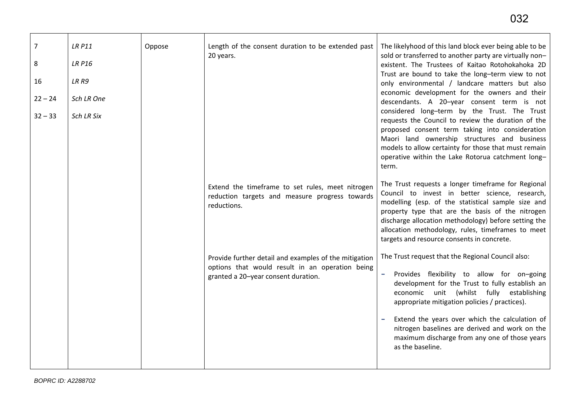| $\overline{7}$<br>8<br>16<br>$22 - 24$<br>$32 - 33$ | <b>LR P11</b><br><b>LR P16</b><br>LR R9<br>Sch LR One<br>Sch LR Six | Oppose | Length of the consent duration to be extended past<br>20 years.                                                                                 | The likelyhood of this land block ever being able to be<br>sold or transferred to another party are virtually non-<br>existent. The Trustees of Kaitao Rotohokahoka 2D<br>Trust are bound to take the long-term view to not<br>only environmental / landcare matters but also<br>economic development for the owners and their<br>descendants. A 20-year consent term is not<br>considered long-term by the Trust. The Trust<br>requests the Council to review the duration of the<br>proposed consent term taking into consideration<br>Maori land ownership structures and business<br>models to allow certainty for those that must remain<br>operative within the Lake Rotorua catchment long-<br>term. |
|-----------------------------------------------------|---------------------------------------------------------------------|--------|-------------------------------------------------------------------------------------------------------------------------------------------------|-------------------------------------------------------------------------------------------------------------------------------------------------------------------------------------------------------------------------------------------------------------------------------------------------------------------------------------------------------------------------------------------------------------------------------------------------------------------------------------------------------------------------------------------------------------------------------------------------------------------------------------------------------------------------------------------------------------|
|                                                     |                                                                     |        | Extend the timeframe to set rules, meet nitrogen<br>reduction targets and measure progress towards<br>reductions.                               | The Trust requests a longer timeframe for Regional<br>Council to invest in better science, research,<br>modelling (esp. of the statistical sample size and<br>property type that are the basis of the nitrogen<br>discharge allocation methodology) before setting the<br>allocation methodology, rules, timeframes to meet<br>targets and resource consents in concrete.                                                                                                                                                                                                                                                                                                                                   |
|                                                     |                                                                     |        | Provide further detail and examples of the mitigation<br>options that would result in an operation being<br>granted a 20-year consent duration. | The Trust request that the Regional Council also:<br>Provides flexibility to allow for on-going<br>development for the Trust to fully establish an<br>economic unit (whilst fully establishing<br>appropriate mitigation policies / practices).<br>Extend the years over which the calculation of<br>nitrogen baselines are derived and work on the<br>maximum discharge from any one of those years<br>as the baseline.                                                                                                                                                                                                                                                                                    |